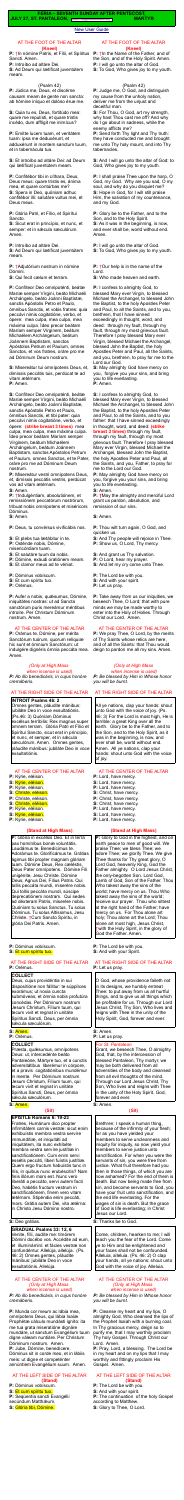#### [New User Guide](http://www.extraordinaryform.org/masses/NewUserGuide.pdf)

**FERIA – SEVENTH SUNDAY AFTER PENTECOST, JULY 27, ST. PANTALEON,** Errors? [help@extraordinaryform.org](mailto:help@extraordinaryform.org) **MARTYR** 

### AT THE FOOT OF THE ALTAR **(Kneel)**

**P:** †In nómine Patris, et Fílii, et Spíritus Sancti. Amen.

**P:** Introíbo ad altáre Dei.

**S:** Ad Deum qui lætíficat juventútem meam.

### (Psalm 42)

**P:** Júdica me, Deus, et discérne causam meam de gente non sancta: ab hómine iníquo et dolóso érue me.

**S:** Quia tu es, Deus, fortitúdo mea: quare me repulísti, et quare tristis incédo, dum afflígit me inimícus?

**P:** Emítte lucem tuam, et veritátem tuam: ipsa me deduxérunt, et adduxérunt in montem sanctum tuum, et in tabernácula tua.

**S:** Et introíbo ad altáre Dei: ad Deum qui lætíficat juventútem meam.

**P:** Confitébor tibi in cíthara, Deus, Deus meus: quare tristis es, ánima mea, et quare contúrbas me? **S:** Spera in Deo, quóniam adhuc confitébor illi: salutáre vultus mei, et Deus meus.

**P:** Glória Patri, et Fílio, et Spirítui Sancto.

**S:** Sicut erat in princípio, et nunc, et semper: et in sæcula sæculórum. Amen.

**P:** Introíbo ad altáre Dei.

**S:** Ad Deum qui lætíficat juventútem meam.

**P:** †Adjutórium nostrum in nómine Dómini.

**S:** Qui fecit cælum et terram.

**P:** Confíteor Deo omnipoténti, beátæ Maríæ semper Vírgini, beáto Michaéli Archángelo, beáto Joánni Baptístæ, sanctis Apóstolis Petro et Paulo, ómnibus Sanctis, et vobis fratres: quia peccávi nimis cogitatióne, verbo, et ópere: mea culpa, mea culpa, mea máxima culpa. Ídeo precor beátam Maríam semper Vírginem, beátum Michaélem Archángelum, beátum Joánnem Baptístam, sanctos Apóstolos Petrum et Paulum, omnes Sanctos, et vos fratres, oráre pro me ad Dóminum Deum nostrum.

**P:** Aufer a nobis, quésumus, Dómine, iniquitátes nostras: ut ad Sancta sanctórum puris mereámur méntibus introíre. Per Christum Dóminum nostrum. Amen.

**S:** Misereátur tui omnípotens Deus, et, dimíssis peccátis tuis, perdúcat te ad

vitam ætérnam. **P:** Amen.

**S:** Confíteor Deo omnipoténti, beátæ Maríæ semper Vírgini, beáto Michaéli Archángelo, beáto Joánni Baptistæ, sanctis Apóstolis Petro et Paulo, ómnibus Sanctis, et tibi pater: quia peccávi nimis cogitatióne, verbo, et ópere: **(strike breast 3 times)** mea culpa, mea culpa, mea máxima culpa. Ídeo precor beátam Maríam semper Vírginem, beátum Michaélem Archángelum, beátum Joánnem Baptístam, sanctos Apóstolos Petrum et Paulum, omnes Sanctos, et te Pater, oráre pro me ad Dóminum Deum nostrum.

Deus, cujus providéntia in sui disposìtióne non fállitur: te súpplìces exorámus; ut noxia cuncta submóveas, et ómnia nobis profutúra concédas. Per Dóminum nostrum Jesum Christum, Fílium tuum, qui tecum vivit et regnat in unitáte Spíritus Sancti, Deus, per ómnia sécula sæculórum.

**P:** Misereátur vestri omnípotens Deus, et, dimíssis peccátis vestris, perdúcat vos ad vitam ætérnam.

**S:** Amen.

**P:** †Indulgéntiam, absolutiónem, et remissiónem peccatórum nostrórum, tríbuat nobis omnípotens et miséricors Dóminus.

**S:** Amen.

**P:** Deus, tu convérsus vivificábis nos.

- **S:** Et plebs tua lætábitur in te.
- **P:** Osténde nobis, Dómine,

misericórdiam tuam.

- **S:** Et salutáre tuum da nobis.
- **P:** Dómine, exáudi oratiónem meam.
- **S:** Et clamor meus ad te véniat.

**P:** Dóminus vobíscum.

- **S:** Et cum spíritu tuo.
- **P:** Orémus.

# AT THE CENTER OF THE ALTAR

**P:** Orámus te, Dómine, per mérita Sanctórum tuórum, quorum relíquiæ hic sunt et ómnium Sanctórum: ut indulgére dignéris ómnia peccáta mea. Amen.

*(Only at High Mass* 

*when incense is used) P: Ab illo benedicáris, in cujus honóre cremáberis.*

# AT THE RIGHT SIDE OF THE ALTAR

# **INTROIT Psalms 46: 2**

**P:** Dóminus vobíscum. **S:** Et cum spíritu tuo. **P:** Seqúentia sancti Evangélii secúndum Matthæum.

Omnes gentes, pláudite mánibus: jubiláte Deo in voce exsultatiónis. (Ps.46: 3) Quóniam Dóminus excélsus terríbilis: Rex magnus super omnem terram. Glória Patri et Fílio et Spirítui Sancto, sicut erat in princípio, et nunc, et semper, et in sécula sæculórum. Amen. Omnes gentes, pláudite mánibus: jubiláte Deo in voce **P:**  $\dagger$ In the Name of the Father, and of the Son, and of the Holy Spirit. Amen. **P:** I will go unto the altar of God. **S:** To God, Who gives joy to my youth.

# AT THE CENTER OF THE ALTAR

- **P:** Kýrie, eléison.
- **S:** Kýrie, eléison.
- **P:** Kýrie, eléison.
- **S:** Christe, eléison.
- **P:** Christe, eléison.
- **S:** Christe, eléison. **P:** Kýrie, eléison.
- **S:** Kýrie, eléison.
- **P:** Kýrie, eléison.
- 

### **(Stand at High Mass)**

**P:** Glória in excélsis Deo. Et in terra pax homínibus bonæ voluntátis. Laudámus te. Benedícimus te. Adorámus te. Glorificámus te. Grátias ágimus tibi propter magnam glóriam tuam. Dómine Deus, Rex cæléstis, Deus Pater omnípotens. Dómine Fili unigénite, Jesu Christe. Dómine Deus, Agnus Dei, Fílius Patris. Qui tollis peccáta mundi, miserére nobis. Qui tollis peccáta mundi, súscipe deprecatiónem nostram. Qui sedes ad déxteram Patris, miserére nobis. Quóniam tu solus Sanctus. Tu solus Dóminus. Tu solus Altíssimus, Jesu Christe. †Cum Sancto Spíritu, in glória Dei Patris. Amen.

# **P:** Dóminus vobíscum.

### **S:** Et cum spíritu tuo.

### AT THE RIGHT SIDE OF THE ALTAR **P:** Orémus.

### **COLLECT**

# **S:** Amen.

**P:** Orémus.

# **COLLECT**

Præsta, quæsumus, omnípotens Deus: ut, intercedénte beáto Pantaleóne, Mártyre tuo, et a cunctis adversitátibus liberémur in córpore, et a pravis cogitatiónibus mundémur in mente. Per Dóminum nostrum Jesum Christum, Fílium tuum, qui tecum vivit et regnat in unitáte Spíritus Sancti, Deus, per ómnia sæcula sæculórum.

### **S:** Amen.

# **(Sit)**

**EPISTLE Romans 6: 19-23** Fratres, Humánum dico propter infirmitátem carnis vestræ: sicut enim exhibuístis membra vestra servíre immundítiæ, et iníquitáti ad iniquitátem, ita nunc exhibéte membra vestra servíre justítiæ in sanctificatiónem. Cum enim servi essétis peccáti, líberi fuístis justítiæ. Quem ergo fructum habuístis tunc in illis, in quibus nunc erubéscitis? Nam finis illórum mors est. Nunc vero liberáti a peccáto, servi autem facti Deo, habétis fructum vestrum in sanctificatiónem, finem vero vitam ætérnam. Stipéndia enim peccáti, mors. Grátia autem Dei, vita ætérna: in Christo Jesu Dómino nostro.

### AT THE RIGHT SIDE OF THE ALTAR **P:** Let us pray.

### **S:** Deo grátias.

### **GRADUAL Psalms 33: 12, 6**

Venite, fílii, audíte me: timórem Dómini docébo vos. Accédite ad eum, et illuminámini: et fácies vestræ non confundéntur. Allelúja, allelúja. (Ps. 46: 2) Omnes gentes, pláudite mánibus: jubiláte Deo in voce exsultatiónis. Allelúja.

#### AT THE CENTER OF THE ALTAR *(Only at High Mass when incense is used) P: Ab illo benedicáris, in cujus honóre cremáberis.*

**P:** Munda cor meum ac lábia mea, omnípotens Deus, qui lábia Isaíæ Prophétæ cálculo mundásti igníto: ita me tua grata miseratióne dignáre mundáre, ut sanctum Evangélium tuum digne váleam nuntiáre. Per Christum Dóminum nostrum. Amen. **P:** Jube, Dómine, benedícere. Dóminus sit in corde meo, et in lábiis meis: ut digne et competénter annúntiem Evangélium suum. Amen.

# AT THE LEFT SIDE OF THE ALTAR **(Stand)**

**S:** Glória tibi, Dómine.

### AT THE FOOT OF THE ALTAR **(Kneel)**

### (Psalm 42)

**P:** Judge me, O God, and distinguish my cause from the unholy nation, deliver me from the unjust and deceitful man.

**S:** For Thou, O God, art my strength, why hast Thou cast me off? And why do I go about in sadness, while the enemy afflicts me?

**P:** Send forth Thy light and Thy truth: they have conducted me and brought me unto Thy holy mount, and into Thy tabernacles.

**S:** And I will go unto the altar of God: to God, Who gives joy to my youth.

**P:** I shall praise Thee upon the harp, O God, my God. Why are you sad, O my soul, and why do you disquiet me? **S:** Hope in God, for I will still praise Him, the salvation of my countenance, and my God.

**P:** Glory be to the Father, and to the Son, and to the Holy Spirit. **S:** As it was in the beginning, is now, and ever shall be, world without end. Amen.

**P:** I will go unto the altar of God. **S:** To God, Who gives joy to my youth.

**P:** †Our help is in the name of the Lord.

**S:** Who made heaven and earth.

**P:** I confess to almighty God, to blessed Mary ever Virgin, to blessed Michael the Archangel, to blessed John the Baptist, to the holy Apostles Peter and Paul, to all the Saints, and to you, brethren, that I have sinned exceedingly in thought, word, and deed: through my fault, through my fault, through my most grievous fault. Therefore I pray blessed Mary ever Virgin, blessed Michael the Archangel, blessed John the Baptist, the holy Apostles Peter and Paul, all the Saints, and you, brethren, to pray for me to the Lord our God.

**S:** May almighty God have mercy on you, forgive you your sins, and bring you to life everlasting. **P:** Amen.

**S:** I confess to almighty God, to blessed Mary ever Virgin, to blessed Michael the Archangel, to blessed John the Baptist, to the holy Apostles Peter and Paul, to all the Saints, and to you father: that I have sinned exceedingly in thought, word, and deed: **(strike breast 3 times)** through my fault, through my fault, through my most grievous fault. Therefore I pray blessed Mary ever Virgin, blessed Michael the Archangel, blessed John the Baptist, the holy Apostles Peter and Paul, all the Saints, and you, Father, to pray for me to the Lord our God.

**P:** May almighty God have mercy on you, forgive you your sins, and bring you to life everlasting. **S:** Amen.

**P: †**May the almighty and merciful Lord grant us pardon, absolution, and remission of our sins.

- **S:** Amen.
- **P:** Thou wilt turn again, O God, and quicken us.
- **S:** And Thy people will rejoice in Thee.
- **P:** Show us, O Lord, Thy mercy.
- **S:** And grant us Thy salvation.
- **P:** O Lord, hear my prayer.
- **S:** And let my cry come unto Thee.
- **P:** The Lord be with you.
- **S:** And with your spirit.
- **P:** Let us pray.

**P:** Take away from us our iniquities, we beseech Thee, O Lord; that with pure minds we may be made worthy to enter into the Holy of Holies. Through Christ our Lord. Amen.

# AT THE CENTER OF THE ALTAR

**P:** We pray Thee, O Lord, by the merits of Thy Saints whose relics are here, and of all the Saints: that Thou would deign to pardon me all my sins. Amen.

# *(Only at High Mass*

 *when incense is used)*

*P: Be blessed by Him in Whose honor you will be burnt.*

# AT THE RIGHT SIDE OF THE ALTAR

All ye nations, clap your hands: shout unto God with the voice of joy. (Ps. 46: 3) For the Lord is most high, He is terrible: a great King over all the earth. Glory be to the Father, and to the Son, and to the Holy Spirit, as it was in the beginning, is now, and ever shall be, world without end. Amen. All ye nations, clap your

hands: shout unto God with the voice of joy.

# AT THE CENTER OF THE ALTAR

- **P:** Lord, have mercy.
- **S:** Lord, have mercy.
- **P:** Lord, have mercy.
- **S:** Christ, have mercy.
- **P:** Christ, have mercy.
- **S:** Christ, have mercy. **P:** Lord, have mercy.
- **S:** Lord, have mercy.
- **P:** Lord, have mercy.

# **(Stand at High Mass)**

**P:** Glory to God in the highest, and on earth peace to men of good will. We praise Thee; we bless Thee; we adore Thee; we glorify Thee. We give Thee thanks for Thy great glory, O Lord God, heavenly King, God the Father almighty. O Lord Jesus Christ, the only-begotten Son. Lord God, Lamb of God, Son of the Father. Thou Who takest away the sins of the world; have mercy on us. Thou Who takest away the sins of the world; receive our prayer. Thou who sittest at the right hand of the Father; have mercy on us. For Thou alone art holy; Thou alone art the Lord; Thou alone art most high, Jesus Christ, †with the Holy Spirit, in the glory of God the Father. Amen.

**P:** The Lord be with you. **S:** And with your Spirit.

O God, whose providence faileth not in its designs, we humbly entreat Thee: to put away from us all hurtful things, and to give us all things which be profitable for us. Through our Lord Jesus Christ, Thy Son, Who lives and reigns with Thee in the unity of the Holy Spirit, God, forever and ever.

#### **S:** Amen. **P:** Let us pray.

# *For St. Pantaleon*

Grant, we beseech Thee, O almighty God, that, by the intercession of blessed Pantaleon, Thy martyr, we may be both delivered from all adversities of the body and cleansed from all evil thoughts of the mind. Through our Lord Jesus Christ, Thy Son, Who lives and reigns with Thee in the unity of the Holy Spirit, God, forever and ever.

**S: Amen.** 

# **(Sit)**

Brethren: I speak a human thing, because of the infirmity of your flesh; for as you have yielded your members to serve uncleanness and iniquity for iniquity, so now yield your members to serve justice unto sanctification. For when you were the servants of sin, you were free from justice. What fruit therefore had you then in those things, of which you are now ashamed? For the end of them is death. But now being made free from sin, and become servants to God, you have your fruit unto sanctification, and the end life everlasting. For the wages of sin is death. But the grace of God is life everlasting; in Christ Jesus our Lord.

**S:** Thanks be to God.

Come, children, hearken to me; I will teach you the fear of the Lord. Come ye to Him and be enlightened and your faces shall not be confounded. Alleluia, alleluia. (Ps. 46: 2) O clap your hands, all ye nations: shout unto God with the voice of joy. Alleluia.

#### AT THE CENTER OF THE ALTAR *(Only at High Mass when incense is used) P: Be blessed by Him in Whose honor you will be burnt.*

**P:** Cleanse my heart and my lips, O almighty God, Who cleansed the lips of the Prophet Isaiah with a burning coal. In Thy gracious mercy, deign so to purify me, that I may worthily proclaim Thy holy Gospel. Through Christ our Lord. Amen.

**P:** Pray, Lord, a blessing. The Lord be in my heart and on my lips that I may worthily and fittingly proclaim His Gospel. Amen.

#### AT THE LEFT SIDE OF THE ALTAR **(Stand)**

**P:** The Lord be with you. **S:** And with your spirit. **P:** The continuation of the holy Gospel according to Matthew. **S:** Glory to Thee, O Lord.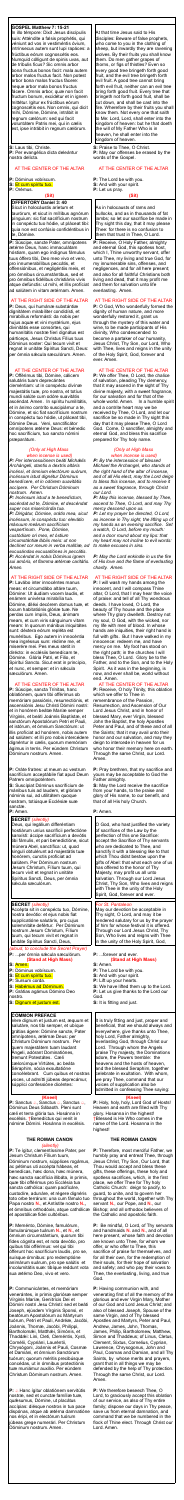### **GOSPEL Matthew 7: 15-21**

In illo témpore: Dixit Jesus discípulis suis: Atténdite a falsis prophétis, qui véniunt ad vos in vestiméntis óvium, intrínsecus autem sunt lupi rapáces: a frúctibus eórum cognoscétis eos. Numquid cólligunt de spinis uvas, aut de tríbulis ficus? Sic omnis arbor bona fructus bonos facit: mala autem arbor malos fructus facit. Non potest arbor bona malos fructus fácere: neque arbor mala bonos fructus fácere. Omnis arbor, quæ non facit fructum bonum, excidétur et in ignem mittétur. Igitur ex frúctibus eórum cognoscétis eos. Non omnis, qui dicit mihi, Dómine, Dómine, intrábit in regnum cælórum: sed qui facit voluntátem Patris mei, qui in cælis est, ipse intrábit in regnum cælórum.

**S:** Laus tibi, Christe. **P:** Per evangélica dicta deleántur nostra delícta.

### AT THE CENTER OF THE ALTAR

**P:** Dóminus vobíscum.

**S:** Et cum spíritu tuo.

**P:** Orémus.

# **(Sit)**

# **OFFERTORY Daniel 3: 40**

Sicut in holocáustis aríetum et taurórum, et sicut in míllibus agnórum pínguium: sic fiat sacrifícium nostrum in conspéctu tuo hódie, ut pláceat tibi: quia non est confúsio confidéntibus in te, Dómine.

**P:** Súscipe, sancte Pater, omnípotens ætérne Deus, hanc immaculátam hóstiam, quam ego indígnus fámulus tuus óffero tibi, Deo meo vivo et vero, pro innumerabílibus peccátis, et offensiónibus, et negligéntiis meis, et pro ómnibus circumstántibus, sed et pro ómnibus fidélibus christiánis vivis atque defúnctis: ut mihi, et illis profíciat ad salútem in vitam ætérnam. Amen.

# AT THE RIGHT SIDE OF THE ALTAR

**P:** Deus, qui humánæ substántiæ dignitátem mirabíliter condidísti, et mirabílius reformásti: da nobis per hujus aquæ et vini mystérium, ejus divinitátis esse consórtes, qui humanitátis nostræ fíeri dignátus est párticeps, Jesus Christus Fílius tuus Dóminus noster: Qui tecum vivit et regnat in unitáte Spíritus Sancti, Deus: per ómnia sǽcula sæculórum. Amen.

AT THE CENTER OF THE ALTAR **P:** Offérimus tibi, Dómine, cálicem salutáris tuam deprecántes cleméntiam: ut in conspéctu divínæ majestátis tuæ, pro nostra, et totíus mundi salúte cum odóre suavitátis ascéndat. Amen. In spíritu humilitátis, et in ánimo contríto suscipiámur a te, Dómine, et sic fiat sacrifícium nostrum in conspéctu tuo hódie, ut pláceat tibi, Dómine Deus. Veni, sanctificátor omnípotens ætérne Deus: et bénedic hoc sacrifícium, tuo sancto nómini præparátum.

Deus, qui legálium differéntiam hostiárum uníus sacrifícii perfectióne sanxísti: áccipe sacrifícium a devótis tibi fámulis, et pari benedictióne, sicut múnera Abel, sanctífica: ut, quod singuli obtulérunt ad majestàtis tuæ honórem, cunctis profíciat ad salútem. Per Dóminum nostrum Jesum Christum, Fílium tuum, qui tecum vivit et regnat in unitáte Spíritus Sancti, Deus, per ómnia sæcula sæculórum.

### *(Only at High Mass when incense is used)*

*P: Per intercessiónem beáti Michǽlis Archángeli, stantis a dextris altáris incénsi, et ómnium electórum suórum, incénsum istud dignétur Dóminus benedícere, et in odórem suavitátis accípere. Per Christum Dóminum nostrum. Amen.*

*(aloud, to conclude the Secret Prayer)* **P:** ...per ómnia sæcula sæculórum.

*P: Incénsum istud a te benedíctum, ascéndat ad te, Dómine, et descéndat super nos misericórdia tua. P: Dirigátur, Dómine, orátio mea, sicut incénsum, in conspéctu tuo: elev*á*tio m*á*nuum me*á*rum sacrifícium vespertínum. Pone, Dómine, custódiam ori meo, et óstium circumstántiæ l*á*biis meis: ut non declínet cor meum in verba malítiæ, ad excusándas excusatiónes in peccátis. P: Accéndat in nobis Dóminus ignem sui amóris, et flamma ætérnæ caritátis. Amen.*

**P:** Sanctus *a*, Sanctus *a*, Sanctus *a*, Dóminus Deus Sábaoth. Pleni sunt cæli et terra glória tua. Hosánna in excélsis. †Benedíctus qui venit in nómine Dómini. Hosánna in excélsis.

# AT THE RIGHT SIDE OF THE ALTAR

**P:** Lavábo inter innocéntes manus meas: et circumdábo altáre tuum, Dómine: Ut áudiam vocem laudis, et enárrem univérsa mirabília tua. Dómine, diléxi decórem domus tuæ, et locum habitatiónis glóriæ tuæ. Ne perdas cum ímpiis, Deus, ánimam meam, et cum viris sánguinum vitam meam: In quorum mánibus iniquitátes sunt: déxtera eórum repléta est munéribus. Ego autem in innocéntia mea ingréssus sum: rédime me, et miserére mei. Pes meus stetit in dirécto: in ecclésiis benedícam te, Dómine. Glória Patri, et Filio, et Spirítui Sancto. Sicut erat in princípio, et nunc, et semper: et in sécula sæculórum. Amen.

#### AT THE CENTER OF THE ALTAR

**P:**  $\triangle$  Hanc ígitur oblatiónem servitútis nostræ, sed et cunctæ famíliæ tuæ, quǽsumus, Dómine, ut placátus accípias: diésque nostros in tua pace dispónas, atque ab ætérna damnatióne nos éripi, et in electórum tuórum júbeas grege numerári. Per Christum Dóminum nostrum. Amen.

**P:** Súscipe, sancta Trínitas, hanc oblatiónem, quam tibi offérimus ob memóriam passiónis, resurrectiónis, et ascensiónis Jesu Christi Dómini nostri: et in honórem beátæ Maríæ semper Vírginis, et beáti Joánnis Baptístæ, et sanctórum Apostolórum Petri et Pauli, et istórum, et ómnium Sanctórum: ut illis profíciat ad honórem, nobis autem ad salútem: et illi pro nobis intercédere dignéntur in cælis, quorum memóriam ágimus in terris. Per eúndem Christum

Dóminum nostrum. Amen.

**P:** Oráte fratres: ut meum ac vestrum sacrifícium acceptábile fiat apud Deum Patrem omnipoténtem.

**S:** Suscípiat Dóminus sacrifícium de mánibus tuis ad laudem, et glóriam nóminis sui, ad utilitátem quoque nostram, totiúsque Ecclésiæ suæ sanctæ.

**P:** Amen.

# **SECRET** *(silently)*

**P:** Receive, O Holy Father, almighty and eternal God, this spotless host, which I, Thine unworthy servant, offer unto Thee, my living and true God, for my innumerable sins, offenses, and negligences, and for all here present; and also for all faithful Christians both living and dead, that it may profit me and them for salvation unto life everlasting. Amen.

# **SECRET** *(silently)*

Accépta sit in conspéctu tuo, Dómine, nostra devótio: et ejus nobis fiat supplicatióne salutáris, pro cujus solemnitáte defértur. Per Dóminum nostrum Jesum Christum, Fílium tuum, qui tecum vivit et regnat in unitáte Spíritus Sancti, Deus,

# **(Stand at High Mass)**

- **S:** Amen.
- **P:** Dóminus vobíscum.
- **S:** Et cum spíritu tuo.
- **P:** Sursum corda.
- **S:** Habémus ad Dóminum.
- **P:** Grátias agámus Dómino Deo nostro.
- **S:** Dignum et justum est.

# **COMMON PREFACE**

Vere dignum et justum est, æquum et salutáre, nos tibi semper, et ubíque grátias ágere: Dómine sancte, Pater omnípotens, ætérnæ Deus: per Christum Dóminum nostrum. Per quem majestátem tuam laudant Ángeli, adórant Dominatiónes, tremunt Potestátes. Cæli cælorúmque Virtútes, ac beáta Séraphim, sócia exsultatióne concélebrant. Cum quibus et nostras voces, ut admítti júbeas deprecámur, súpplici confessióne dicéntes:

# **(Kneel)**

#### **THE ROMAN CANON** *(silently)*

**P:** Pray brethren, that my sacrifice and yours may be acceptable to God the Father almighty.

**P:** Te ígitur, clementíssime Pater, per Jesum Christum Fílium tuum, Dóminum nostrum, súpplices rogámus, ac pétimus uti accépta hábeas, et benedícas, hæc dona, hæc múnera, hæc sancta sacrifícia illibáta, in primis, quæ tibi offérimus pro Ecclésia tua sancta cathólica: quam pacificáre, custodíre, adunáre, et régere dignéris toto orbe terrárum: una cum fámulo tuo Papa nostro **N.**, et Antístite nostro **N.,** et ómnibus orthodóxis, atque cathólicæ et apostólicæ fidei cultóribus.

**P:** Meménto, Dómine, famulórum, famularúmque tuárum **N.**, et **N.**, et ómnium circumstántium, quorum tibi fides cógnita est, et nota devótio, pro quibus tibi offérimus: vel qui tibi ófferunt hoc sacrifícium laudis, pro se, suísque ómnibus: pro redemptióne animárum suárum, pro spe salútis et incolumitátis suæ: tibíque reddunt vota sua ætérno Deo, vivo et vero.

**P:** Communicántes, et memóriam venerántes, in primis gloriósæ semper Vírginis Maríæ, Genitrícis Dei et Dómini nostri Jesu Christi: sed et beáti Joseph, ejúsdem Vírginis Sponsi, et beatórum Apostolórum ac Mártyrum tuórum, Petri et Pauli, Andréæ, Jacóbi, Joánnis, Thomæ, Jacóbi, Philíppi, Bartholomǽi, Matthǽi, Simónis, et Thaddǽi: Lini, Cleti, Cleméntis, Xysti, Cornélii, Cypriáni, Lauréntii, Chrysógoni, Joánnis et Pauli, Cosmæ et Damiáni, et ómnium Sanctórum tuórum; quorum méritis precibúsque concédas, ut in ómnibus protectiónis tuæ muniámur auxílio. Per eúndem Christum Dóminum nostrum. Amen.

At that time Jesus said to His disciples: Beware of false prophets, who come to you in the clothing of sheep, but inwardly they are ravening wolves. By their fruits you shall know them. Do men gather grapes of thorns, or figs of thistles? Even so every good tree bringeth forth good fruit, and the evil tree bringeth forth evil fruit. A good tree cannot bring forth evil fruit, neither can an evil tree bring forth good fruit. Every tree that bringeth not forth good fruit, shall be cut down, and shall be cast into the fire. Wherefore by their fruits you shall know them. Not every one that saith to Me: Lord, Lord, shall enter into the kingdom of heaven: but he that doeth the will of My Father Who is in heaven, he shall enter into the kingdom of heaven.

**S:** Praise to Thee, O Christ. **P:** May our offenses be erased by the words of the Gospel.

### AT THE CENTER OF THE ALTAR

**P:** The Lord be with you. **S:** And with your spirit. **P:** Let us pray.

### **(Sit)**

As in holocausts of rams and bullocks, and as in thousands of fat lambs; so let our sacrifice be made in Thy sight this day, that it may please Thee: for there is no confusion to them that trust in Thee, O Lord.

### AT THE RIGHT SIDE OF THE ALTAR

**P:** O God, Who wonderfully formed the dignity of human nature, and more wonderfully restored it, grant us through the mystery of this water and wine, to be made participants of His divinity, Who condescended to become a partaker of our humanity, Jesus Christ, Thy Son, our Lord, Who with Thee, lives and reigns in the unity of the Holy Spirit, God, forever and ever. Amen.

AT THE CENTER OF THE ALTAR **P:** We offer Thee, O Lord, the chalice of salvation, pleading Thy clemency, that it may ascend in the sight of Thy divine majesty, with a sweet fragrance, for our salvation and for that of the whole world. Amen. In a humble spirit and a contrite heart may we be received by Thee, O Lord, and let our sacrifice be so made in Thy sight this day that it may please Thee, O Lord God. Come, O sanctifier, almighty and eternal God, and bless this sacrifice prepared for Thy holy name.

#### *(Only at High Mass when incense is used)*

*P: By the intercession of blessed Michael the Archangel, who stands at the right hand of the altar of incense, and of all His elect, may the Lord deign to bless this incense, and to receive it as a sweet fragrance, through Christ our Lord.*

*P: May this incense, blessed by Thee, ascend to Thee, O Lord, and may Thy mercy descend upon us.*

*P: Let my prayer be directed, O Lord, as incense in Thy sight, the lifting up of my hands as an evening sacrifice. Set a watch, O Lord, before my mouth: and a door round about my lips: that my heart may not incline to evil words: to make excuses in sins.*

*P: May the Lord enkindle in us the fire of His love and the flame of everlasting charity. Amen.*

### AT THE RIGHT SIDE OF THE ALTAR

**P:** I will wash my hands among the innocent, and I will compass Thine altar, O Lord, that I may hear the voice of praise: and tell of all Thy wondrous deeds. I have loved, O Lord, the beauty of Thy house and the place where Thy glory dwelleth. Destroy not my soul, O God, with the wicked, nor my life with men of blood. In whose hands are iniquities, their right hand is full with gifts. But I have walked in my innocence: redeem me, and have mercy on me. My foot has stood on the right path; in the churches I will bless Thee, O Lord. Glory be to the Father, and to the Son, and to the Holy Spirit. As it was in the beginning, is now, and ever shall be, world without end. Amen.

AT THE CENTER OF THE ALTAR **P:** Receive, O holy Trinity, this oblation which we offer to Thee in remembrance of the Passion, Resurrection, and Ascension of Our Lord Jesus Christ, and in honor of blessed Mary, ever Virgin, blessed John the Baptist, the holy Apostles Peter and Paul, and of these and of all the Saints; that it may avail unto their honor and our salvation, and may they deign to intercede in heaven for us who honor their memory here on earth. Through the same Christ, our Lord. Amen.

**S:** May the Lord receive the sacrifice from your hands, to the praise and glory of His name, to our benefit, and that of all His holy Church.

### **P:** Amen.

O God, who hast justified the variety of sacrifices of the Law by the perfection of this one Sacrifice: accept the Sacrifice of Thy servants who are dedicated to Thee, and sanctify it with a blessing like to that which Thou didst bestow upon the gifts of Abel: that what each one of us has offered to the honor of Thy Majesty, may profit us all unto salvation. Through our Lord Jesus Christ, Thy Son, Who lives and reigns with Thee in the unity of the Holy Spirit, God, forever and ever.

# *For St. Pantaleon*

May our devotion be acceptable in Thy sight, O Lord, and may it be rendered salutary for us by the prayer of him for whose festival it is offered. Through our Lord Jesus Christ, Thy Son, Who lives and reigns with Thee in the unity of the Holy Spirit, God,

# **P:** ...forever and ever.

# **(Stand at High Mass)**

- **S:** Amen.
- **P:** The Lord be with you.
- **S:** And with your spirit.
- **P:** Lift up your hearts.
- **S:** We have lifted them up to the Lord.
- **P:** Let us give thanks to the Lord our God.
- **S:** It is fitting and just.

It is truly fitting and just, proper and beneficial, that we should always and everywhere, give thanks unto Thee, holy Lord, Father almighty, everlasting God, through Christ our Lord. Through whom the Angels praise Thy majesty, the Dominations adore, the Powers tremble: the heavens and the hosts of heaven, and the blessed Seraphim, together celebrate in exultation. With whom, we pray Thee, command that our voices of supplication also be admitted in confessing Thee saying:

### **(Kneel)**

**P:** Holy, holy, holy, Lord God of Hosts! Heaven and earth are filled with Thy glory. Hosanna in the highest! †Blessed is He Who comes in the name of the Lord. Hosanna in the

highest!

# **THE ROMAN CANON**

**P:** Therefore, most merciful Father, we humbly pray and entreat Thee, through Jesus Christ, Thy Son, Our Lord, that Thou would accept and bless these gifts, these offerings, these holy and spotless sacrifices, which, in the first place, we offer Thee for Thy holy Catholic Church: deign to pacify, to guard, to unite, and to govern her throughout the world, together with Thy servant **N.**, our Pope, and **N.**, our Bishop; and all orthodox believers of the Catholic and apostolic faith.

**P:** Be mindful, O Lord, of Thy servants and handmaids **N.** and **N.**, and of all here present, whose faith and devotion are known unto Thee, for whom we offer, or who offer to Thee, this sacrifice of praise for themselves, and for all their own, for the redemption of their souls, for their hope of salvation and safety; and who pay their vows to Thee, the everlasting, living, and true God.

**P:** Having communion with, and venerating first of all the memory of the glorious and ever Virgin Mary, Mother of our God and Lord Jesus Christ; and also of blessed Joseph, Spouse of the same Virgin, and of Thy blessed Apostles and Martyrs, Peter and Paul, Andrew, James, John, Thomas, James, Philip, Bartholomew, Matthew, Simon and Thaddeus; of Linus, Cletus, Clement, Sixtus, Cornelius, Cyprian, Lawrence, Chrysogonus, John and Paul, Cosmas and Damian, and all Thy Saints, by whose merits and prayers, grant that in all things we may be defended by the help of Thy protection. Through the same Christ, our Lord. Amen.

**P:** We therefore beseech Thee, O Lord, to graciously accept this oblation of our service, as also of Thy entire family; dispose our days in Thy peace, save us from eternal damnation, and command that we be numbered in the flock of Thine elect. Through Christ our Lord. Amen.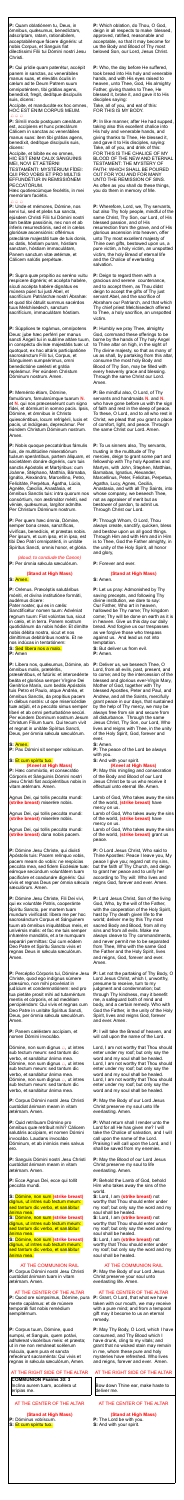**P:** Quam oblatiónem tu, Deus, in ómnibus, quǽsumus, benedíctam, adscríptam, ratam, rationábilem, acceptabilémque fácere dignéris: ut nobis Corpus, et Sanguis fiat dilectíssimi Fílii tui Dómini nostri Jesu Christi.

Accípite, et manducáte ex hoc omnes, HOC EST ENIM CORPUS MEUM.  $\bigoplus \bigoplus \bigoplus$ 

**P:** Qui prídie quam paterétur, accépit panem in sanctas, ac venerábiles manus suas, et elevátis óculis in cælum ad te Deum Patrem suum omnipoténtem, tibi grátias agens, benedíxit, fregit, dedítque discípulis suis, dicens:

**P:** Símili modo postquam cænátum est, accípiens et hunc præclárum Cálicem in sanctas ac venerábiles manus suas: item tibi grátias agens, benedíxit, dedítque discípulis suis, dicens:

Accípite, et bíbite ex eo omnes, HIC EST ENIM CALIX SÁNGUINIS MEI, NOVI ET AETÉRNI

TESTAMÉNTI: MYSTÉRIUM FÍDEI: QUI PRO VOBIS ET PRO MULTIS EFFUNDÉTUR IN REMISSIÓNEM PECCATÓRUM.

Hæc quotiescúmque fecéritis, in mei memóriam faciétis.

### $A A A$

**P:** Unde et mémores, Dómine, nos servi tui, sed et plebs tua sancta, ejúsdem Christi Fílii tui Dómini nostri tam beátæ passiónis, nec non et ab ínferis resurrectiónis, sed et in cælos gloriósæ ascensiónis: offérimus præcláræ majestáti tuæ de tuis donis, ac datis, hóstiam puram, hóstiam sanctam, hóstiam immaculátam, Panem sanctum vitæ ætérnæ, et Cálicem salútis perpétuæ.

**P:** Supra quæ propítio ac seréno vultu respícere dignéris; et accépta habére, sícuti accépta habére dignátus es múnera púeri tui justi Abel, et sacrifícium Patriárchæ nostri Ábrahæ: et quod tibi óbtulit summus sacérdos tuus Melchísedech, sanctum sacrifícium, immaculátam hóstiam.

*(aloud, to conclude the Canon)* **P:** Per ómnia sæcula sæculórum.

**P:** Líbera nos, quésumus, Dómine, ab ómnibus malis, prætéritis,

præséntibus, et futúris: et intercedénte beáta et gloriósa semper Vírgine Dei Genitríce María, cum beátis Apóstolis tuis Petro et Paulo, atque Andréa, et ómnibus Sanctis, da propítius pacem in diébus nostris: ut ope misericórdiæ tuæ adjúti, et a peccáto simus semper líberi et ab omni perturbatióne secúri. Per eúndem Dominum nostrum Jesum Christum Fílium tuum. Qui tecum vivit et regnat in unitáte Spíritus Sancti, Deus, per ómnia sæcula sæculórum.

**P:** Súpplices te rogámus, omnípotens Deus: jube hæc perférri per manus sancti Ángeli tui in sublíme altáre tuum, in conspéctu divínæ majestátis tuæ: ut quotquot, ex hac altáris participatióne sacrosánctum Fílii tui, Corpus, et Sánguinem sumpsérimus, omni benedictióne cælésti et grátia repleámur. Per eúndem Christum Dóminum nostrum. Amen.

#### **P:** Meménto étiam, Dómine,

famulórum, famularúmque tuarum **N.** et **N.** qui nos præcessérunt cum signo fídei, et dórmiunt in somno pacis. Ipsis, Dómine, et ómnibus in Christo quiescéntibus, locum refrigérii, lucis et pacis, ut indúlgeas, deprecámur. Per eúndem Christum Dóminum nostrum. Amen.

**P:** Nobis quoque peccatóribus fámulis tuis, de multitúdine miseratiónum tuárum sperántibus, partem áliquam, et societátem donáre dignéris, cum tuis sanctis Apóstolis et Martýribus: cum Joánne, Stéphano, Matthía, Bárnaba, Ignátio, Alexándro, Marcellíno, Petro, Felicitáte, Perpétua, Ágatha, Lúcia, Agnéte, Cæcília, Anastásia, et ómnibus Sanctis tuis: intra quorum nos consórtium, non æstimátor mériti, sed véniæ, quæsumus, largítor admítte. Per Christum Dóminum nostrum.

**P:** Per quem hæc ómnia, Dómine, semper bona creas, sanctíficas, vivíficas, benedícis, et præstas nobis. Per ipsum, et cum ipso, et in ipso, est tibi Deo Patri omnipoténti, in unitáte Spíritus Sancti, omnis honor, et glória.

Dómine, non sum dignus  $\triangle$ , ut intres sub tectum meum: sed tantum dic verbo, et sanábitur ánima mea. Dómine, non sum dignus  $\triangle$ , ut intres sub tectum meum: sed tantum dic verbo, et sanábitur ánima mea. Dómine, non sum dignus  $\triangle$ , ut intres sub tectum meum: sed tantum dic verbo, et sanábitur ánima mea.

# **(Stand at High Mass)**

**S:** Amen.

**P:** Orémus. Præcéptis salutáribus móniti, et divína institutióne formáti, audémus dícere:

Pater noster, qui es in cælis: Sanctificétur nomen tuum: Advéniat regnum tuum: Fiat volúntas tua, sicut in cælo, et in terra. Panem nostrum quotidiánum da nobis hódie: Et dimítte nobis débita nostra, sicut et nos dimíttimus debitóribus nostris. Et ne nos indúcas in tentatiónem: **S:** Sed líbera nos a malo.

**P:** Amen

#### **S:** Amen.

**P:** Pax Dómini sit semper vobíscum.

# **S:** Et cum spíritu tuo. **(Kneel at High Mass)**

**P:** Hæc commíxtio, et consecrátio Córporis et Sánguinis Dómini nostri Jesu Christi fiat accipiéntibus nobis in vitam ætérnam. Amen.

Agnus Dei, qui tollis peccáta mundi: **(strike breast)** miserére nobis.

Agnus Dei, qui tollis peccáta mundi: **(strike breast)** miserére nobis.

Agnus Dei, qui tollis peccáta mundi: **(strike breast)** dona nobis pacem.

**P:** Dómine Jesu Christe, qui dixísti Apóstolis tuis: Pacem relínquo vobis, pacem meam do vobis: ne respícias peccáta mea, sed fidem Ecclésiæ tuæ: eámque secúndum voluntátem tuam pacificáre et coadunáre dignéris: Qui vivis et regnas Deus per ómnia sæcula sæculórum. Amen.

**P:** Dómine Jesu Christe, Fili Dei vivi, qui ex voluntáte Patris, cooperánte Spíritu Sancto, per mortem tuam mundum vivificásti: líbera me per hoc sacrosánctum Corpus et Sánguinem tuum ab ómnibus iniquitátibus meis, et univérsis malis: et fac me tuis semper inhærére mandátis, et a te numquam separári permíttas: Qui cum eódem Deo Patre et Spiritu Sancto vivis et regnas Deus in sǽcula sæculórum. Amen.

**P:** Percéptio Córporis tui, Dómine Jesu Christe, quod ego indígnus súmere præsúmo, non mihi provéniat in judícium et condemnatiónem: sed pro tua pietáte prosit mihi ad tutaméntum mentis et córporis, et ad medélam percipiéndam: Qui vivis et regnas cum Deo Patre in unitáte Spíritus Sancti, Deus, per ómnia sæcula sæculórum. Amen.

**P:** Panem cæléstem accípiam, et nomen Dómini invocábo.

**P:** Corpus Dómini nostri Jesu Christi custódiat ánimam meam in vitam ætérnam. Amen.

**P:** Quid retríbuam Dómino pro ómnibus quæ retríbuit mihi? Cálicem salutáris accípiam, et nomen Dómini invocábo. Laudans invocábo Dóminum, et ab inimícis meis salvus ero.

**P:** Sanguis Dómini nostri Jesu Christi custódiat ánimam meam in vitam ætérnam. Amen.

**P:** Ecce Agnus Dei, ecce qui tollit peccáta mundi.

**S:** Dómine, non sum **(strike breast)** dignus, ut intres sub tectum meum: sed tantum dic verbo, et sanábitur ánima mea.

**S:** Dómine, non sum **(strike breast)**  dignus, ut intres sub tectum meum: sed tantum dic verbo, et sanábitur ánima mea.

**S:** Dómine, non sum **(strike breast)**  dignus, ut intres sub tectum meum: sed tantum dic verbo, et sanábitur ánima mea.

### AT THE COMMUNION RAIL

**P:** Corpus Dómini nostri Jesu Christi custódiat ánimam tuam in vitam ætérnam. Amen.

### AT THE CENTER OF THE ALTAR

**P:** Quod ore súmpsimus, Dómine, pura mente capiámus: et de múnere temporáli fiat nobis remédium sempitérnum.

**P:** Corpus tuum, Dómine, quod sumpsi, et Sanguis, quem potávi, adhæreat viscéribus meis: et præsta; ut in me non remáneat scélerum mácula, quem pura et sancta refecérunt sacraménta: Qui vivis et regnas in sǽcula sæculórum, Amen.

# AT THE RIGHT SIDE OF THE ALTAR

**COMMUNION Psalms 30: 3** Inclína aurem tuam, accélera ut erípias me.

# AT THE CENTER OF THE ALTAR

**(Stand at High Mass) P:** Dóminus vobíscum. **S:** Et cum spíritu tuo.

**P:** Which oblation, do Thou, O God, deign in all respects to make blessed, approved, ratified, reasonable and acceptable, so that it may become for us the Body and Blood of Thy most beloved Son, our Lord, Jesus Christ.

**P:** Who, the day before He suffered, took bread into His holy and venerable hands, and with His eyes raised to heaven, unto Thee, God, His almighty Father, giving thanks to Thee, He blessed it, broke it, and gave it to His disciples saying: Take, all of you, and eat of this:

FOR THIS IS MY BODY.

**P:** In like manner, after He had supped, taking also this excellent chalice into His holy and venerable hands, and giving thanks to Thee, He blessed it, and gave it to His disciples, saying: Take, all of you, and drink of this: FOR THIS IS THE CHALICE OF MY BLOOD OF THE NEW AND ETERNAL TESTAMENT: THE MYSTERY OF FAITH: WHICH SHALL BE POURED OUT FOR YOU AND FOR MANY UNTO THE REMISSION OF SINS. As often as you shall do these things, you do them in memory of Me.

**P:** Wherefore, Lord, we, Thy servants, but also Thy holy people, mindful of the same Christ, Thy Son, our Lord, of His blessed passion, and of His resurrection from the grave, and of His glorious ascension into heaven, offer unto Thy most excellent majesty of Thine own gifts, bestowed upon us, a pure victim, a holy victim, an unspotted victim, the holy Bread of eternal life and the Chalice of everlasting salvation.

**P:** Deign to regard them with a gracious and serene countenance, and to accept them, as Thou didst deign to accept the gifts of Thy just servant Abel, and the sacrifice of Abraham our Patriarch, and that which Thy chief priest Melchisedech offered to Thee, a holy sacrifice, an unspotted victim.

**P:** Humbly we pray Thee, almighty God, command these offerings to be borne by the hands of Thy holy Angel to Thine altar on high, in the sight of Thy divine majesty, so that as many of us as shall, by partaking from this altar, consume the most holy Body and Blood of Thy Son, may be filled with every heavenly grace and blessing. Through the same Christ our Lord. Amen.

**P:** Be mindful also, O Lord, of Thy servants and handmaids **N.** and **N.** who have gone before us with the sign of faith and rest in the sleep of peace. To these, O Lord, and to all who rest in Christ, we plead that you grant a place of comfort, light, and peace. Through the same Christ our Lord. Amen.

**P:** To us sinners also, Thy servants, trusting in the multitude of Thy mercies, deign to grant some part and fellowship with Thy holy Apostles and Martyrs, with John, Stephen, Matthias, Barnabas, Ignatius, Alexander, Marcellinus, Peter, Felicitas, Perpetua, Agatha, Lucy, Agnes, Cecilia, Anastasia, and with all Thy Saints, into whose company, we beseech Thee, not as appraiser of merit but as bestower of pardon, to admit us. Through Christ our Lord.

**P:** Through Whom, O Lord, Thou always create, sanctify, quicken, bless and bestow upon us all good things. Through Him and with Him and in Him is to Thee, God the Father almighty, in the unity of the Holy Spirit, all honor and glory,

**P:** Forever and ever.

### **(Stand at High Mass)**

**S:** Amen.

**P:** Let us pray: Admonished by Thy saving precepts, and following Thy divine institution, we dare to say: Our Father, Who art in heaven, hallowed be Thy name; Thy kingdom come; Thy will be done on earth as it is in heaven. Give us this day our daily bread. And forgive us our trespasses as we forgive those who trespass against us. And lead us not into temptation.

**S:** But deliver us from evil. **P:** Amen.

**P:** Deliver us, we beseech Thee, O Lord, from all evils, past, present, and to come; and by the intercession of the blessed and glorious ever-Virgin Mary, Mother of God, together with Thy blessed Apostles, Peter and Paul, and Andrew, and all the Saints, mercifully grant peace in our days, that sustained by the help of Thy mercy, we may be always free from sin and secure from all disturbance. Through the same Jesus Christ, Thy Son, our Lord, Who lives and reigns with Thee, in the unity of the Holy Spirit, God, forever and ever.

**S:** Amen.

**P:** The peace of the Lord be always with you. **S:** And with your spirit.

# **(Kneel at High Mass)**

**P:** May this mingling and consecration of the Body and Blood of our Lord Jesus Christ be to us who receive it effectual unto eternal life. Amen.

Lamb of God, Who takes away the sins of the world, **(strike breast)** have mercy on us.

Lamb of God, Who takes away the sins of the world, **(strike breast)** have mercy on us.

Lamb of God, Who takes away the sins of the world, **(strike breast)** grant us peace.

**P:** O Lord Jesus Christ, Who said to Thine Apostles: Peace I leave you, My peace I give you; regard not my sins, but the faith of Thy Church, and deign to grant her peace and to unify her according to Thy will: Who lives and reigns God, forever and ever. Amen.

**P:** Lord Jesus Christ, Son of the living God, Who, by the will of the Father, with the cooperation of the Holy Spirit, hast by Thy death given life to the world; deliver me by this Thy most sacred Body and Blood, from all my sins and from all evils. Make me always cleave to Thy commandments, and never permit me to be separated from Thee, Who with the same God the Father and the Holy Spirit, lives and reigns, God, forever and ever. Amen.

**P:** Let not the partaking of Thy Body, O Lord Jesus Christ, which I, unworthy, presume to receive, turn to my judgment and condemnation; but through Thy kindness, may it benefit me, a safeguard both of mind and body, and a certain remedy. Who with God the Father, in the unity of the Holy Spirit, lives and reigns God, forever and ever. Amen.

**P:** I will take the Bread of heaven, and will call upon the name of the Lord.

Lord, I am not worthy that Thou should enter under my roof; but only say the word and my soul shall be healed. Lord, I am not worthy that Thou should enter under my roof; but only say the word and my soul shall be healed. Lord, I am not worthy that Thou should enter under my roof; but only say the word and my soul shall be healed.

**P:** May the Body of our Lord Jesus Christ preserve my soul unto life everlasting. Amen.

**P:** What return shall I render unto the

Lord for all He has given me? I will take the Chalice of salvation, and I will call upon the name of the Lord. Praising I will call upon the Lord, and I shall be saved from my enemies.

**P:** May the Blood of our Lord Jesus Christ preserve my soul to life everlasting. Amen.

**P:** Behold the Lamb of God, behold Him who takes away the sins of the world.

**S:** Lord, I am **(strike breast)** not worthy that Thou should enter under my roof; but only say the word and my soul shall be healed.

**S:** Lord, I am **(strike breast)** not worthy that Thou should enter under my roof; but only say the word and my soul shall be healed.

**S:** Lord, I am **(strike breast)** not worthy that Thou should enter under my roof; but only say the word and my soul shall be healed.

# AT THE COMMUNION RAIL

**P:** May the Body of our Lord Jesus Christ preserve your soul unto everlasting life. Amen.

### AT THE CENTER OF THE ALTAR

**P:** Grant, O Lord, that what we have taken with our mouth, we may receive with a pure mind; and from a temporal gift may it become to us an eternal remedy.

**P:** May Thy Body, O Lord, which I have consumed, and Thy Blood which I have drunk, cling to my vitals; and grant that no wicked stain may remain in me, whom these pure and holy mysteries have refreshed. Who lives and reigns, forever and ever. Amen.

# AT THE RIGHT SIDE OF THE ALTAR

Bow down Thine ear, make haste to deliver me.

# AT THE CENTER OF THE ALTAR

### **(Stand at High Mass)**

- **P:** The Lord be with you. **S:** And with your spirit.
-